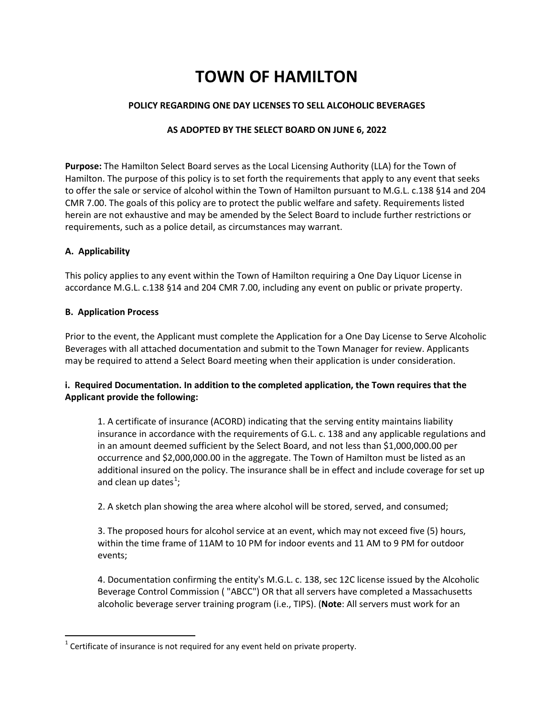# **TOWN OF HAMILTON**

## **POLICY REGARDING ONE DAY LICENSES TO SELL ALCOHOLIC BEVERAGES**

## **AS ADOPTED BY THE SELECT BOARD ON JUNE 6, 2022**

**Purpose:** The Hamilton Select Board serves as the Local Licensing Authority (LLA) for the Town of Hamilton. The purpose of this policy is to set forth the requirements that apply to any event that seeks to offer the sale or service of alcohol within the Town of Hamilton pursuant to M.G.L. c.138 §14 and 204 CMR 7.00. The goals of this policy are to protect the public welfare and safety. Requirements listed herein are not exhaustive and may be amended by the Select Board to include further restrictions or requirements, such as a police detail, as circumstances may warrant.

## **A. Applicability**

This policy applies to any event within the Town of Hamilton requiring a One Day Liquor License in accordance M.G.L. c.138 §14 and 204 CMR 7.00, including any event on public or private property.

#### **B. Application Process**

Prior to the event, the Applicant must complete the Application for a One Day License to Serve Alcoholic Beverages with all attached documentation and submit to the Town Manager for review. Applicants may be required to attend a Select Board meeting when their application is under consideration.

## **i. Required Documentation. In addition to the completed application, the Town requires that the Applicant provide the following:**

1. A certificate of insurance (ACORD) indicating that the serving entity maintains liability insurance in accordance with the requirements of G.L. c. 138 and any applicable regulations and in an amount deemed sufficient by the Select Board, and not less than \$1,000,000.00 per occurrence and \$2,000,000.00 in the aggregate. The Town of Hamilton must be listed as an additional insured on the policy. The insurance shall be in effect and include coverage for set up and clean up dates<sup>[1](#page-0-0)</sup>;

2. A sketch plan showing the area where alcohol will be stored, served, and consumed;

3. The proposed hours for alcohol service at an event, which may not exceed five (5) hours, within the time frame of 11AM to 10 PM for indoor events and 11 AM to 9 PM for outdoor events;

4. Documentation confirming the entity's M.G.L. c. 138, sec 12C license issued by the Alcoholic Beverage Control Commission ( "ABCC") OR that all servers have completed a Massachusetts alcoholic beverage server training program (i.e., TIPS). (**Note**: All servers must work for an

<span id="page-0-0"></span> $1$  Certificate of insurance is not required for any event held on private property.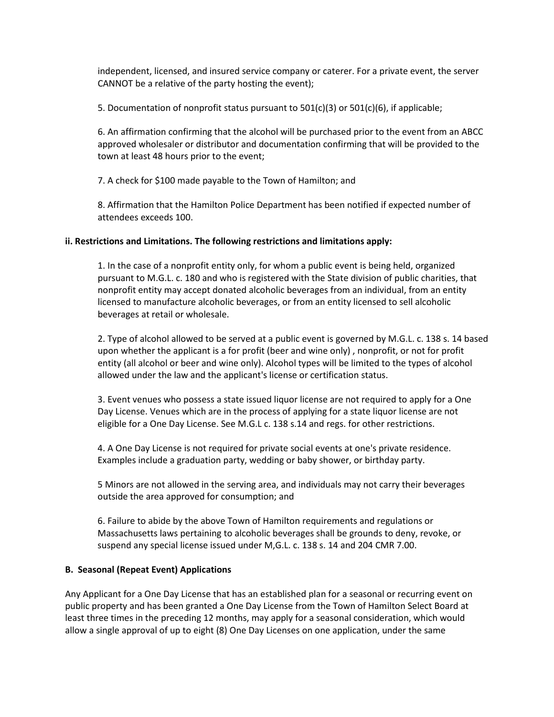independent, licensed, and insured service company or caterer. For a private event, the server CANNOT be a relative of the party hosting the event);

5. Documentation of nonprofit status pursuant to  $501(c)(3)$  or  $501(c)(6)$ , if applicable;

6. An affirmation confirming that the alcohol will be purchased prior to the event from an ABCC approved wholesaler or distributor and documentation confirming that will be provided to the town at least 48 hours prior to the event;

7. A check for \$100 made payable to the Town of Hamilton; and

8. Affirmation that the Hamilton Police Department has been notified if expected number of attendees exceeds 100.

## **ii. Restrictions and Limitations. The following restrictions and limitations apply:**

1. In the case of a nonprofit entity only, for whom a public event is being held, organized pursuant to M.G.L. c. 180 and who is registered with the State division of public charities, that nonprofit entity may accept donated alcoholic beverages from an individual, from an entity licensed to manufacture alcoholic beverages, or from an entity licensed to sell alcoholic beverages at retail or wholesale.

2. Type of alcohol allowed to be served at a public event is governed by M.G.L. c. 138 s. 14 based upon whether the applicant is a for profit (beer and wine only) , nonprofit, or not for profit entity (all alcohol or beer and wine only). Alcohol types will be limited to the types of alcohol allowed under the law and the applicant's license or certification status.

3. Event venues who possess a state issued liquor license are not required to apply for a One Day License. Venues which are in the process of applying for a state liquor license are not eligible for a One Day License. See M.G.L c. 138 s.14 and regs. for other restrictions.

4. A One Day License is not required for private social events at one's private residence. Examples include a graduation party, wedding or baby shower, or birthday party.

5 Minors are not allowed in the serving area, and individuals may not carry their beverages outside the area approved for consumption; and

6. Failure to abide by the above Town of Hamilton requirements and regulations or Massachusetts laws pertaining to alcoholic beverages shall be grounds to deny, revoke, or suspend any special license issued under M,G.L. c. 138 s. 14 and 204 CMR 7.00.

## **B. Seasonal (Repeat Event) Applications**

Any Applicant for a One Day License that has an established plan for a seasonal or recurring event on public property and has been granted a One Day License from the Town of Hamilton Select Board at least three times in the preceding 12 months, may apply for a seasonal consideration, which would allow a single approval of up to eight (8) One Day Licenses on one application, under the same